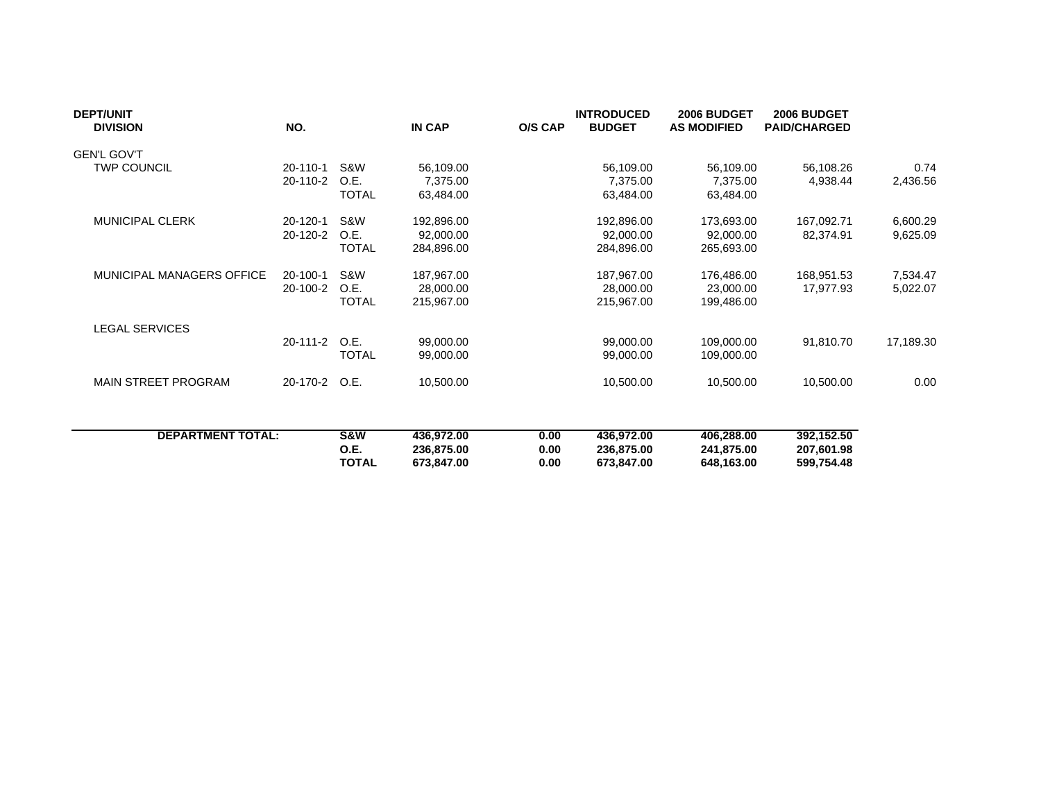| <b>DEPT/UNIT</b><br><b>DIVISION</b> | NO.            |              | IN CAP     | O/S CAP | <b>INTRODUCED</b><br><b>BUDGET</b> | 2006 BUDGET<br><b>AS MODIFIED</b> | 2006 BUDGET<br><b>PAID/CHARGED</b> |           |
|-------------------------------------|----------------|--------------|------------|---------|------------------------------------|-----------------------------------|------------------------------------|-----------|
| <b>GEN'L GOV'T</b>                  |                |              |            |         |                                    |                                   |                                    |           |
| <b>TWP COUNCIL</b>                  | $20 - 110 - 1$ | S&W          | 56,109.00  |         | 56,109.00                          | 56,109.00                         | 56,108.26                          | 0.74      |
|                                     | 20-110-2       | O.E.         | 7,375.00   |         | 7.375.00                           | 7,375.00                          | 4,938.44                           | 2,436.56  |
|                                     |                | <b>TOTAL</b> | 63,484.00  |         | 63,484.00                          | 63,484.00                         |                                    |           |
| MUNICIPAL CLERK                     | 20-120-1       | S&W          | 192,896.00 |         | 192,896.00                         | 173,693.00                        | 167,092.71                         | 6,600.29  |
|                                     | 20-120-2       | O.E.         | 92,000.00  |         | 92,000.00                          | 92,000.00                         | 82,374.91                          | 9,625.09  |
|                                     |                | <b>TOTAL</b> | 284,896.00 |         | 284,896.00                         | 265,693.00                        |                                    |           |
| MUNICIPAL MANAGERS OFFICE           | 20-100-1       | S&W          | 187,967.00 |         | 187,967.00                         | 176,486.00                        | 168,951.53                         | 7,534.47  |
|                                     | 20-100-2       | O.E.         | 28,000.00  |         | 28,000.00                          | 23,000.00                         | 17,977.93                          | 5,022.07  |
|                                     |                | <b>TOTAL</b> | 215,967.00 |         | 215,967.00                         | 199,486.00                        |                                    |           |
| <b>LEGAL SERVICES</b>               |                |              |            |         |                                    |                                   |                                    |           |
|                                     | 20-111-2       | O.E.         | 99,000.00  |         | 99,000.00                          | 109,000.00                        | 91,810.70                          | 17,189.30 |
|                                     |                | <b>TOTAL</b> | 99,000.00  |         | 99,000.00                          | 109,000.00                        |                                    |           |
| MAIN STREET PROGRAM                 | 20-170-2       | O.E.         | 10,500.00  |         | 10,500.00                          | 10,500.00                         | 10,500.00                          | 0.00      |
|                                     |                |              |            |         |                                    |                                   |                                    |           |
| <b>DEPARTMENT TOTAL:</b>            |                | S&W          | 436,972.00 | 0.00    | 436,972.00                         | 406,288.00                        | 392,152.50                         |           |
|                                     |                | O.E.         | 236,875.00 | 0.00    | 236,875.00                         | 241,875.00                        | 207,601.98                         |           |
|                                     |                | <b>TOTAL</b> | 673,847.00 | 0.00    | 673,847.00                         | 648,163.00                        | 599,754.48                         |           |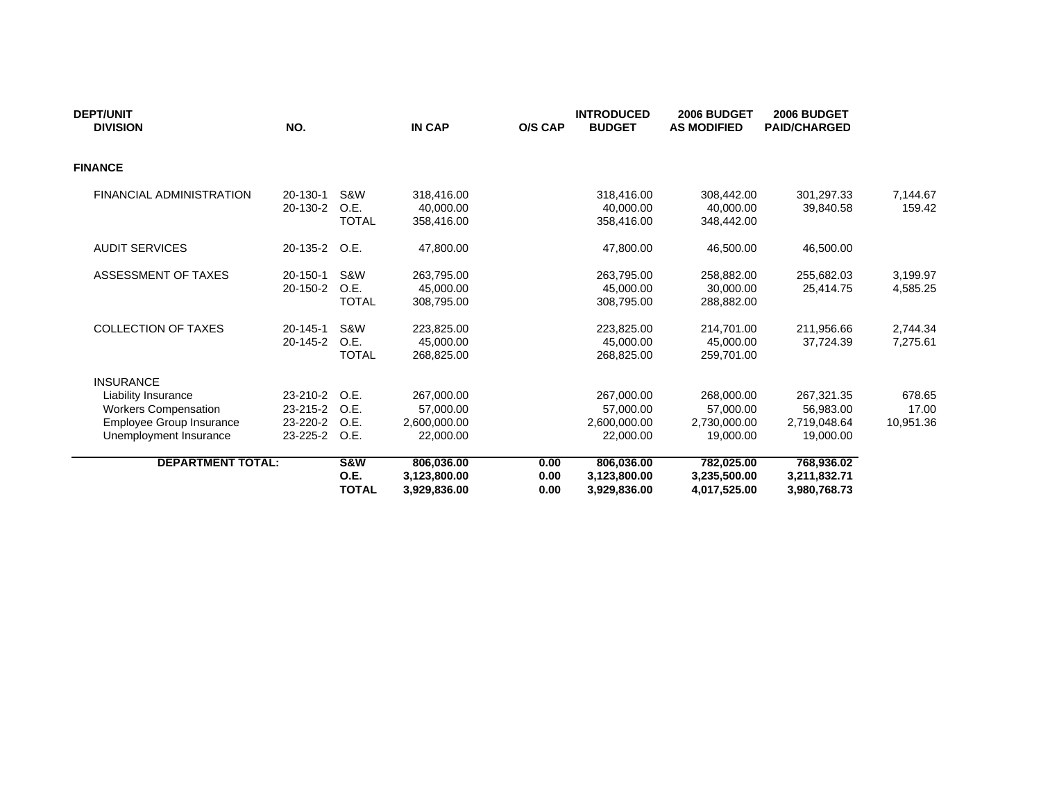| <b>DEPT/UNIT</b><br><b>DIVISION</b>                                                                      | NO.                                          |                                        | <b>IN CAP</b>                                        | O/S CAP              | <b>INTRODUCED</b><br><b>BUDGET</b>                   | 2006 BUDGET<br><b>AS MODIFIED</b>                    | 2006 BUDGET<br><b>PAID/CHARGED</b>                   |                              |
|----------------------------------------------------------------------------------------------------------|----------------------------------------------|----------------------------------------|------------------------------------------------------|----------------------|------------------------------------------------------|------------------------------------------------------|------------------------------------------------------|------------------------------|
| <b>FINANCE</b>                                                                                           |                                              |                                        |                                                      |                      |                                                      |                                                      |                                                      |                              |
| <b>FINANCIAL ADMINISTRATION</b>                                                                          | 20-130-1<br>20-130-2                         | S&W<br>O.E.<br><b>TOTAL</b>            | 318,416.00<br>40,000.00<br>358,416.00                |                      | 318,416.00<br>40,000.00<br>358,416.00                | 308,442.00<br>40,000.00<br>348,442.00                | 301,297.33<br>39,840.58                              | 7,144.67<br>159.42           |
| <b>AUDIT SERVICES</b>                                                                                    | 20-135-2                                     | O.E.                                   | 47,800.00                                            |                      | 47,800.00                                            | 46,500.00                                            | 46,500.00                                            |                              |
| ASSESSMENT OF TAXES                                                                                      | 20-150-1<br>20-150-2                         | S&W<br>O.E.<br><b>TOTAL</b>            | 263,795.00<br>45,000,00<br>308,795.00                |                      | 263,795.00<br>45,000.00<br>308,795.00                | 258,882.00<br>30,000.00<br>288,882.00                | 255,682.03<br>25.414.75                              | 3,199.97<br>4,585.25         |
| <b>COLLECTION OF TAXES</b>                                                                               | $20 - 145 - 1$<br>20-145-2                   | S&W<br>O.E.<br><b>TOTAL</b>            | 223,825.00<br>45,000,00<br>268,825.00                |                      | 223,825.00<br>45,000.00<br>268,825.00                | 214,701.00<br>45.000.00<br>259,701.00                | 211,956.66<br>37.724.39                              | 2,744.34<br>7,275.61         |
| <b>INSURANCE</b>                                                                                         |                                              |                                        |                                                      |                      |                                                      |                                                      |                                                      |                              |
| Liability Insurance<br><b>Workers Compensation</b><br>Employee Group Insurance<br>Unemployment Insurance | 23-210-2<br>23-215-2<br>23-220-2<br>23-225-2 | O.E.<br>O.E.<br>O.E.<br>O.E.           | 267,000.00<br>57,000.00<br>2,600,000.00<br>22,000.00 |                      | 267,000.00<br>57,000.00<br>2,600,000.00<br>22,000.00 | 268,000.00<br>57,000.00<br>2,730,000.00<br>19.000.00 | 267,321.35<br>56,983.00<br>2,719,048.64<br>19.000.00 | 678.65<br>17.00<br>10,951.36 |
| <b>DEPARTMENT TOTAL:</b>                                                                                 |                                              | <b>S&amp;W</b><br>0.E.<br><b>TOTAL</b> | 806,036.00<br>3,123,800.00<br>3,929,836.00           | 0.00<br>0.00<br>0.00 | 806,036.00<br>3,123,800.00<br>3,929,836.00           | 782,025.00<br>3,235,500.00<br>4,017,525.00           | 768,936.02<br>3,211,832.71<br>3,980,768.73           |                              |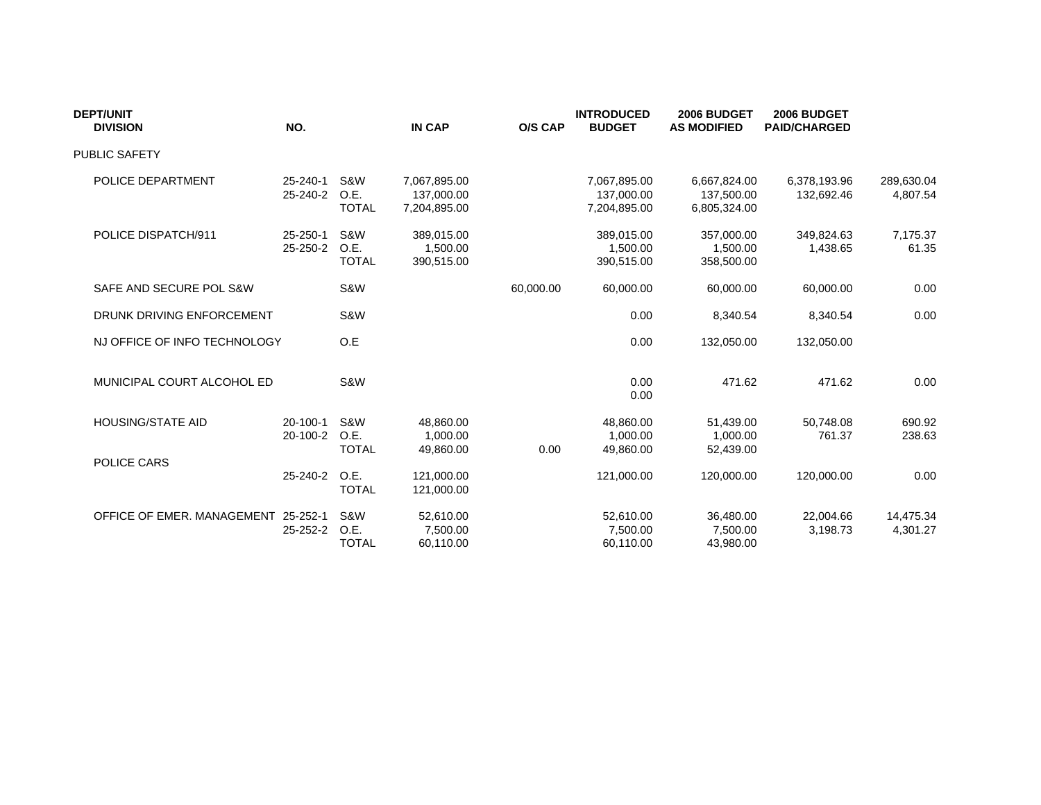| <b>DEPT/UNIT</b><br><b>DIVISION</b> | NO.                  |                             | <b>IN CAP</b>                              | <b>O/S CAP</b> | <b>INTRODUCED</b><br><b>BUDGET</b>         | 2006 BUDGET<br><b>AS MODIFIED</b>          | 2006 BUDGET<br><b>PAID/CHARGED</b> |                        |
|-------------------------------------|----------------------|-----------------------------|--------------------------------------------|----------------|--------------------------------------------|--------------------------------------------|------------------------------------|------------------------|
| <b>PUBLIC SAFETY</b>                |                      |                             |                                            |                |                                            |                                            |                                    |                        |
| POLICE DEPARTMENT                   | 25-240-1<br>25-240-2 | S&W<br>O.E.<br><b>TOTAL</b> | 7,067,895.00<br>137,000.00<br>7,204,895.00 |                | 7,067,895.00<br>137,000.00<br>7,204,895.00 | 6,667,824.00<br>137,500.00<br>6,805,324.00 | 6,378,193.96<br>132,692.46         | 289,630.04<br>4,807.54 |
| POLICE DISPATCH/911                 | 25-250-1<br>25-250-2 | S&W<br>O.E.<br><b>TOTAL</b> | 389,015.00<br>1,500.00<br>390,515.00       |                | 389,015.00<br>1.500.00<br>390,515.00       | 357,000.00<br>1,500.00<br>358,500.00       | 349,824.63<br>1,438.65             | 7,175.37<br>61.35      |
| SAFE AND SECURE POL S&W             |                      | S&W                         |                                            | 60,000.00      | 60,000.00                                  | 60,000.00                                  | 60,000.00                          | 0.00                   |
| DRUNK DRIVING ENFORCEMENT           |                      | S&W                         |                                            |                | 0.00                                       | 8,340.54                                   | 8,340.54                           | 0.00                   |
| NJ OFFICE OF INFO TECHNOLOGY        |                      | O.E                         |                                            |                | 0.00                                       | 132,050.00                                 | 132,050.00                         |                        |
| MUNICIPAL COURT ALCOHOL ED          |                      | S&W                         |                                            |                | 0.00<br>0.00                               | 471.62                                     | 471.62                             | 0.00                   |
| <b>HOUSING/STATE AID</b>            | 20-100-1<br>20-100-2 | S&W<br>O.E.<br><b>TOTAL</b> | 48.860.00<br>1,000.00<br>49,860.00         | 0.00           | 48,860.00<br>1,000.00<br>49,860.00         | 51.439.00<br>1,000.00<br>52,439.00         | 50,748.08<br>761.37                | 690.92<br>238.63       |
| POLICE CARS                         | 25-240-2             | O.E.<br><b>TOTAL</b>        | 121,000.00<br>121,000.00                   |                | 121,000.00                                 | 120,000.00                                 | 120,000.00                         | 0.00                   |
| OFFICE OF EMER. MANAGEMENT 25-252-1 | 25-252-2             | S&W<br>O.E.<br><b>TOTAL</b> | 52,610.00<br>7,500.00<br>60.110.00         |                | 52,610.00<br>7,500.00<br>60,110.00         | 36,480.00<br>7,500.00<br>43,980.00         | 22,004.66<br>3,198.73              | 14,475.34<br>4,301.27  |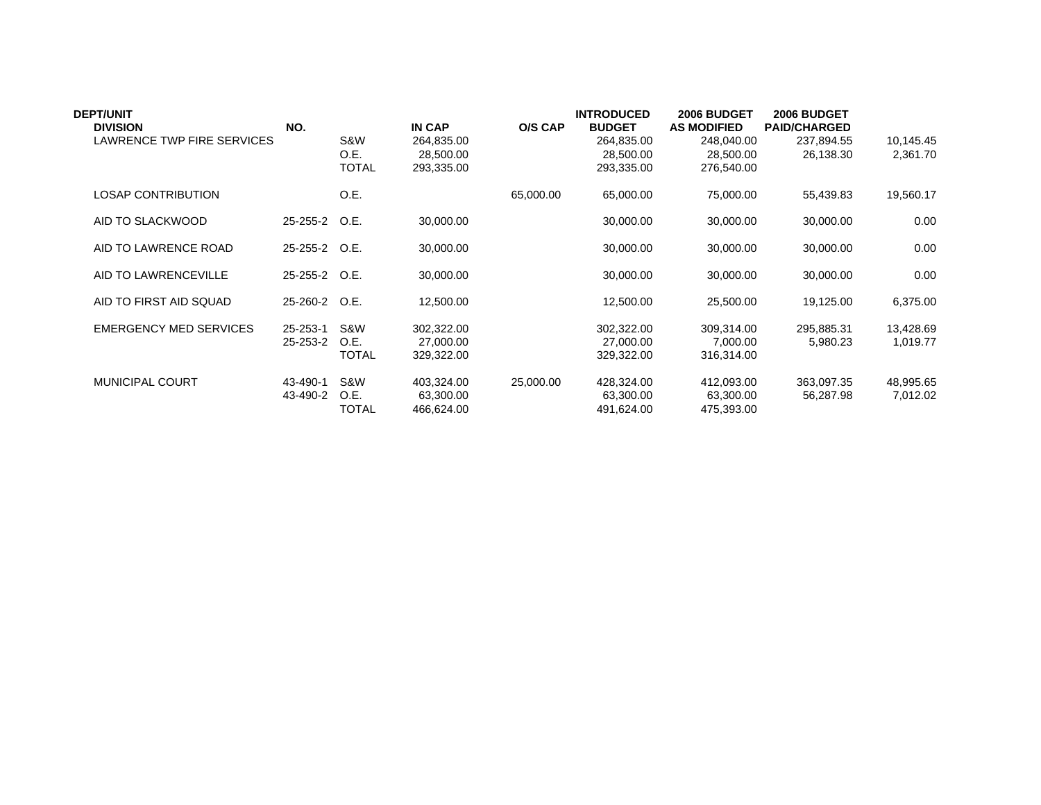| <b>DEPT/UNIT</b><br><b>DIVISION</b> | NO.                  |                             | <b>IN CAP</b>                         | O/S CAP   | <b>INTRODUCED</b><br><b>BUDGET</b>    | 2006 BUDGET<br><b>AS MODIFIED</b>     | 2006 BUDGET<br><b>PAID/CHARGED</b> |                       |
|-------------------------------------|----------------------|-----------------------------|---------------------------------------|-----------|---------------------------------------|---------------------------------------|------------------------------------|-----------------------|
| LAWRENCE TWP FIRE SERVICES          |                      | S&W<br>O.E.<br><b>TOTAL</b> | 264,835.00<br>28,500.00<br>293,335.00 |           | 264,835.00<br>28,500.00<br>293,335.00 | 248,040.00<br>28,500.00<br>276,540.00 | 237,894.55<br>26,138.30            | 10,145.45<br>2,361.70 |
| <b>LOSAP CONTRIBUTION</b>           |                      | O.E.                        |                                       | 65,000.00 | 65,000.00                             | 75,000.00                             | 55,439.83                          | 19,560.17             |
| AID TO SLACKWOOD                    | 25-255-2 O.E.        |                             | 30,000.00                             |           | 30,000.00                             | 30,000.00                             | 30,000.00                          | 0.00                  |
| AID TO LAWRENCE ROAD                | 25-255-2 O.E.        |                             | 30,000.00                             |           | 30,000.00                             | 30,000.00                             | 30,000.00                          | 0.00                  |
| AID TO LAWRENCEVILLE                | 25-255-2 O.E.        |                             | 30,000.00                             |           | 30,000.00                             | 30,000.00                             | 30,000.00                          | 0.00                  |
| AID TO FIRST AID SQUAD              | 25-260-2 O.E.        |                             | 12,500.00                             |           | 12,500.00                             | 25,500.00                             | 19,125.00                          | 6,375.00              |
| <b>EMERGENCY MED SERVICES</b>       | 25-253-1<br>25-253-2 | S&W<br>O.E.<br><b>TOTAL</b> | 302.322.00<br>27,000.00<br>329,322.00 |           | 302,322.00<br>27,000.00<br>329,322.00 | 309,314.00<br>7,000.00<br>316,314.00  | 295.885.31<br>5,980.23             | 13,428.69<br>1,019.77 |
| <b>MUNICIPAL COURT</b>              | 43-490-1<br>43-490-2 | S&W<br>O.E.<br><b>TOTAL</b> | 403,324.00<br>63,300.00<br>466,624.00 | 25,000.00 | 428,324.00<br>63,300.00<br>491,624.00 | 412,093.00<br>63,300.00<br>475,393.00 | 363,097.35<br>56,287.98            | 48,995.65<br>7,012.02 |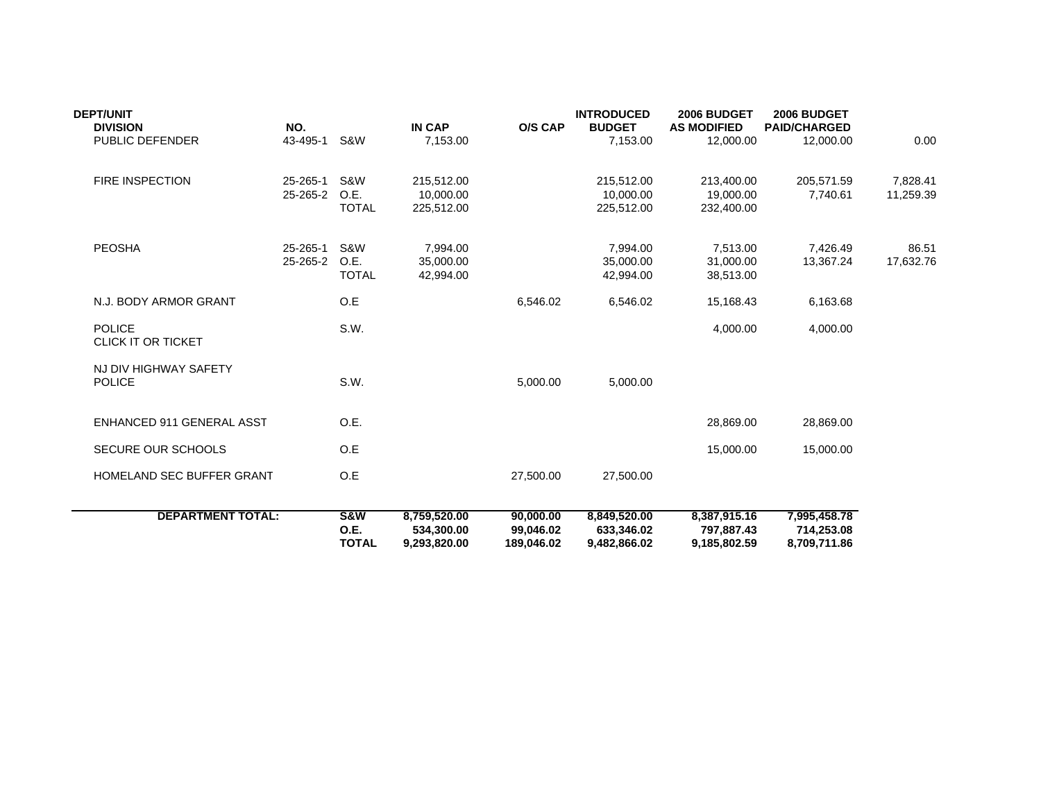| <b>DEPT/UNIT</b><br><b>DIVISION</b>        | NO.                  |                                        | <b>IN CAP</b>                              | <b>O/S CAP</b>                       | <b>INTRODUCED</b><br><b>BUDGET</b>         | 2006 BUDGET<br><b>AS MODIFIED</b>          | 2006 BUDGET<br><b>PAID/CHARGED</b>         |                       |
|--------------------------------------------|----------------------|----------------------------------------|--------------------------------------------|--------------------------------------|--------------------------------------------|--------------------------------------------|--------------------------------------------|-----------------------|
| PUBLIC DEFENDER                            | 43-495-1             | S&W                                    | 7,153.00                                   |                                      | 7,153.00                                   | 12,000.00                                  | 12,000.00                                  | 0.00                  |
| <b>FIRE INSPECTION</b>                     | 25-265-1<br>25-265-2 | S&W<br>O.E.<br><b>TOTAL</b>            | 215,512.00<br>10,000.00<br>225,512.00      |                                      | 215,512.00<br>10,000.00<br>225,512.00      | 213,400.00<br>19,000.00<br>232,400.00      | 205,571.59<br>7,740.61                     | 7,828.41<br>11,259.39 |
| <b>PEOSHA</b>                              | 25-265-1<br>25-265-2 | S&W<br>O.E.<br><b>TOTAL</b>            | 7,994.00<br>35,000.00<br>42,994.00         |                                      | 7,994.00<br>35,000.00<br>42.994.00         | 7,513.00<br>31,000.00<br>38,513.00         | 7,426.49<br>13,367.24                      | 86.51<br>17,632.76    |
| N.J. BODY ARMOR GRANT                      |                      | O.E                                    |                                            | 6,546.02                             | 6,546.02                                   | 15,168.43                                  | 6,163.68                                   |                       |
| <b>POLICE</b><br><b>CLICK IT OR TICKET</b> |                      | S.W.                                   |                                            |                                      |                                            | 4,000.00                                   | 4,000.00                                   |                       |
| NJ DIV HIGHWAY SAFETY<br><b>POLICE</b>     |                      | S.W.                                   |                                            | 5,000.00                             | 5,000.00                                   |                                            |                                            |                       |
| <b>ENHANCED 911 GENERAL ASST</b>           |                      | O.E.                                   |                                            |                                      |                                            | 28,869.00                                  | 28,869.00                                  |                       |
| <b>SECURE OUR SCHOOLS</b>                  |                      | O.E                                    |                                            |                                      |                                            | 15,000.00                                  | 15,000.00                                  |                       |
| HOMELAND SEC BUFFER GRANT                  |                      | O.E                                    |                                            | 27,500.00                            | 27,500.00                                  |                                            |                                            |                       |
| <b>DEPARTMENT TOTAL:</b>                   |                      | <b>S&amp;W</b><br>O.E.<br><b>TOTAL</b> | 8,759,520.00<br>534,300.00<br>9,293,820.00 | 90,000.00<br>99,046.02<br>189,046.02 | 8,849,520.00<br>633,346.02<br>9,482,866.02 | 8,387,915.16<br>797,887.43<br>9,185,802.59 | 7,995,458.78<br>714,253.08<br>8,709,711.86 |                       |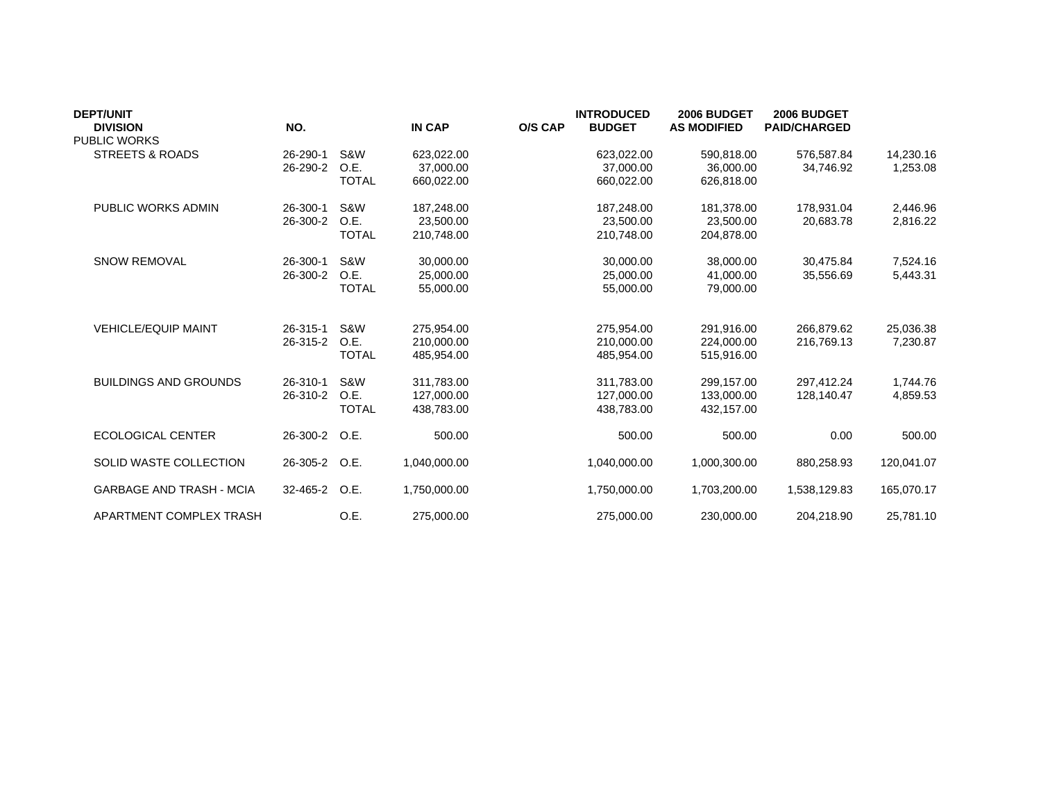| <b>DEPT/UNIT</b>                       |          |              |               |                | <b>INTRODUCED</b> | 2006 BUDGET        | 2006 BUDGET         |            |
|----------------------------------------|----------|--------------|---------------|----------------|-------------------|--------------------|---------------------|------------|
| <b>DIVISION</b><br><b>PUBLIC WORKS</b> | NO.      |              | <b>IN CAP</b> | <b>O/S CAP</b> | <b>BUDGET</b>     | <b>AS MODIFIED</b> | <b>PAID/CHARGED</b> |            |
| <b>STREETS &amp; ROADS</b>             | 26-290-1 | S&W          | 623,022.00    |                | 623,022.00        | 590,818.00         | 576,587.84          | 14,230.16  |
|                                        | 26-290-2 | O.E.         | 37,000.00     |                | 37,000.00         | 36,000.00          | 34.746.92           | 1,253.08   |
|                                        |          | <b>TOTAL</b> | 660,022.00    |                | 660,022.00        | 626,818.00         |                     |            |
| PUBLIC WORKS ADMIN                     | 26-300-1 | S&W          | 187,248.00    |                | 187,248.00        | 181,378.00         | 178.931.04          | 2,446.96   |
|                                        | 26-300-2 | O.E.         | 23,500.00     |                | 23,500.00         | 23,500.00          | 20,683.78           | 2,816.22   |
|                                        |          | <b>TOTAL</b> | 210,748.00    |                | 210,748.00        | 204,878.00         |                     |            |
| <b>SNOW REMOVAL</b>                    | 26-300-1 | S&W          | 30,000.00     |                | 30,000.00         | 38,000.00          | 30,475.84           | 7,524.16   |
|                                        | 26-300-2 | O.E.         | 25,000.00     |                | 25,000.00         | 41.000.00          | 35,556.69           | 5,443.31   |
|                                        |          | <b>TOTAL</b> | 55,000.00     |                | 55,000.00         | 79,000.00          |                     |            |
| <b>VEHICLE/EQUIP MAINT</b>             | 26-315-1 | S&W          | 275,954.00    |                | 275,954.00        | 291,916.00         | 266,879.62          | 25,036.38  |
|                                        | 26-315-2 | O.E.         | 210.000.00    |                | 210.000.00        | 224.000.00         | 216.769.13          | 7,230.87   |
|                                        |          | <b>TOTAL</b> | 485,954.00    |                | 485,954.00        | 515,916.00         |                     |            |
| <b>BUILDINGS AND GROUNDS</b>           | 26-310-1 | S&W          | 311,783.00    |                | 311,783.00        | 299,157.00         | 297.412.24          | 1,744.76   |
|                                        | 26-310-2 | O.E.         | 127.000.00    |                | 127,000.00        | 133.000.00         | 128.140.47          | 4,859.53   |
|                                        |          | <b>TOTAL</b> | 438,783.00    |                | 438,783.00        | 432,157.00         |                     |            |
| <b>ECOLOGICAL CENTER</b>               | 26-300-2 | O.E.         | 500.00        |                | 500.00            | 500.00             | 0.00                | 500.00     |
| SOLID WASTE COLLECTION                 | 26-305-2 | O.E.         | 1,040,000.00  |                | 1,040,000.00      | 1,000,300.00       | 880,258.93          | 120,041.07 |
| <b>GARBAGE AND TRASH - MCIA</b>        | 32-465-2 | O.E.         | 1,750,000.00  |                | 1,750,000.00      | 1,703,200.00       | 1,538,129.83        | 165,070.17 |
| APARTMENT COMPLEX TRASH                |          | O.E.         | 275,000.00    |                | 275,000.00        | 230,000.00         | 204,218.90          | 25,781.10  |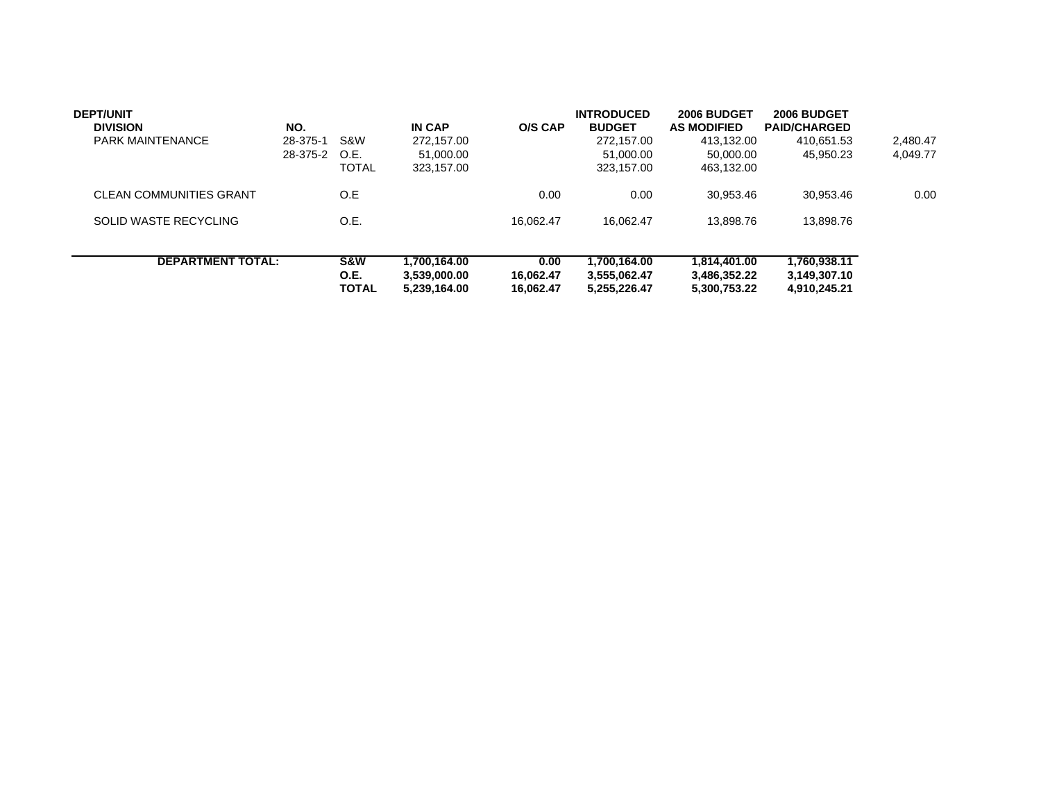| <b>DEPT/UNIT</b><br><b>DIVISION</b><br><b>PARK MAINTENANCE</b> | NO.<br>28-375-1<br>28-375-2 | S&W<br>O.E.<br><b>TOTAL</b>            | <b>IN CAP</b><br>272.157.00<br>51.000.00<br>323,157.00 | O/S CAP                        | <b>INTRODUCED</b><br><b>BUDGET</b><br>272.157.00<br>51,000.00<br>323.157.00 | 2006 BUDGET<br><b>AS MODIFIED</b><br>413.132.00<br>50.000.00<br>463.132.00 | 2006 BUDGET<br><b>PAID/CHARGED</b><br>410.651.53<br>45.950.23 | 2.480.47<br>4.049.77 |
|----------------------------------------------------------------|-----------------------------|----------------------------------------|--------------------------------------------------------|--------------------------------|-----------------------------------------------------------------------------|----------------------------------------------------------------------------|---------------------------------------------------------------|----------------------|
| <b>CLEAN COMMUNITIES GRANT</b>                                 |                             | O.E                                    |                                                        | 0.00                           | 0.00                                                                        | 30,953.46                                                                  | 30.953.46                                                     | 0.00                 |
| SOLID WASTE RECYCLING                                          |                             | O.E.                                   |                                                        | 16.062.47                      | 16.062.47                                                                   | 13.898.76                                                                  | 13.898.76                                                     |                      |
| <b>DEPARTMENT TOTAL:</b>                                       |                             | <b>S&amp;W</b><br>O.E.<br><b>TOTAL</b> | 1.700.164.00<br>3.539.000.00<br>5,239,164.00           | 0.00<br>16.062.47<br>16.062.47 | 1,700,164.00<br>3.555.062.47<br>5.255.226.47                                | 1.814.401.00<br>3.486.352.22<br>5.300.753.22                               | 1,760,938.11<br>3,149,307.10<br>4.910.245.21                  |                      |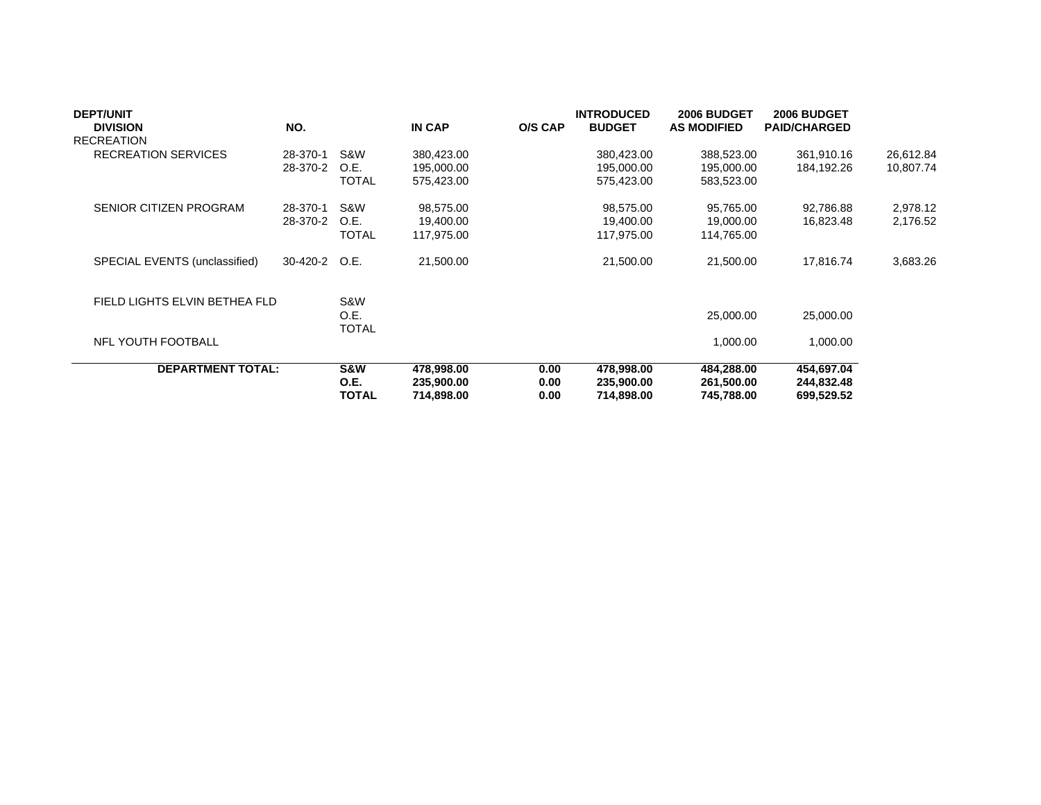| <b>DEPT/UNIT</b>              |          |               |               |                | <b>INTRODUCED</b> | 2006 BUDGET        | 2006 BUDGET         |           |
|-------------------------------|----------|---------------|---------------|----------------|-------------------|--------------------|---------------------|-----------|
| <b>DIVISION</b>               | NO.      |               | <b>IN CAP</b> | <b>O/S CAP</b> | <b>BUDGET</b>     | <b>AS MODIFIED</b> | <b>PAID/CHARGED</b> |           |
| <b>RECREATION</b>             |          |               |               |                |                   |                    |                     |           |
| <b>RECREATION SERVICES</b>    | 28-370-1 | S&W           | 380,423.00    |                | 380,423.00        | 388,523.00         | 361,910.16          | 26,612.84 |
|                               | 28-370-2 | O.E.          | 195,000.00    |                | 195,000.00        | 195,000.00         | 184,192.26          | 10,807.74 |
|                               |          | <b>TOTAL</b>  | 575,423.00    |                | 575,423.00        | 583,523.00         |                     |           |
| <b>SENIOR CITIZEN PROGRAM</b> | 28-370-1 | S&W           | 98,575.00     |                | 98,575.00         | 95,765.00          | 92,786.88           | 2,978.12  |
|                               | 28-370-2 | O.E.          | 19,400.00     |                | 19,400.00         | 19,000.00          | 16,823.48           | 2,176.52  |
|                               |          | <b>TOTAL</b>  | 117,975.00    |                | 117,975.00        | 114,765.00         |                     |           |
| SPECIAL EVENTS (unclassified) | 30-420-2 | O.E.          | 21,500.00     |                | 21,500.00         | 21,500.00          | 17,816.74           | 3,683.26  |
| FIELD LIGHTS ELVIN BETHEA FLD |          | S&W           |               |                |                   |                    |                     |           |
|                               |          | O.E.<br>TOTAL |               |                |                   | 25,000.00          | 25,000.00           |           |
| NFL YOUTH FOOTBALL            |          |               |               |                |                   | 1,000.00           | 1,000.00            |           |
| <b>DEPARTMENT TOTAL:</b>      |          | S&W           | 478,998.00    | 0.00           | 478,998.00        | 484,288.00         | 454,697.04          |           |
|                               |          | O.E.          | 235,900.00    | 0.00           | 235,900.00        | 261,500.00         | 244,832.48          |           |
|                               |          | TOTAL         | 714,898.00    | 0.00           | 714,898.00        | 745,788.00         | 699,529.52          |           |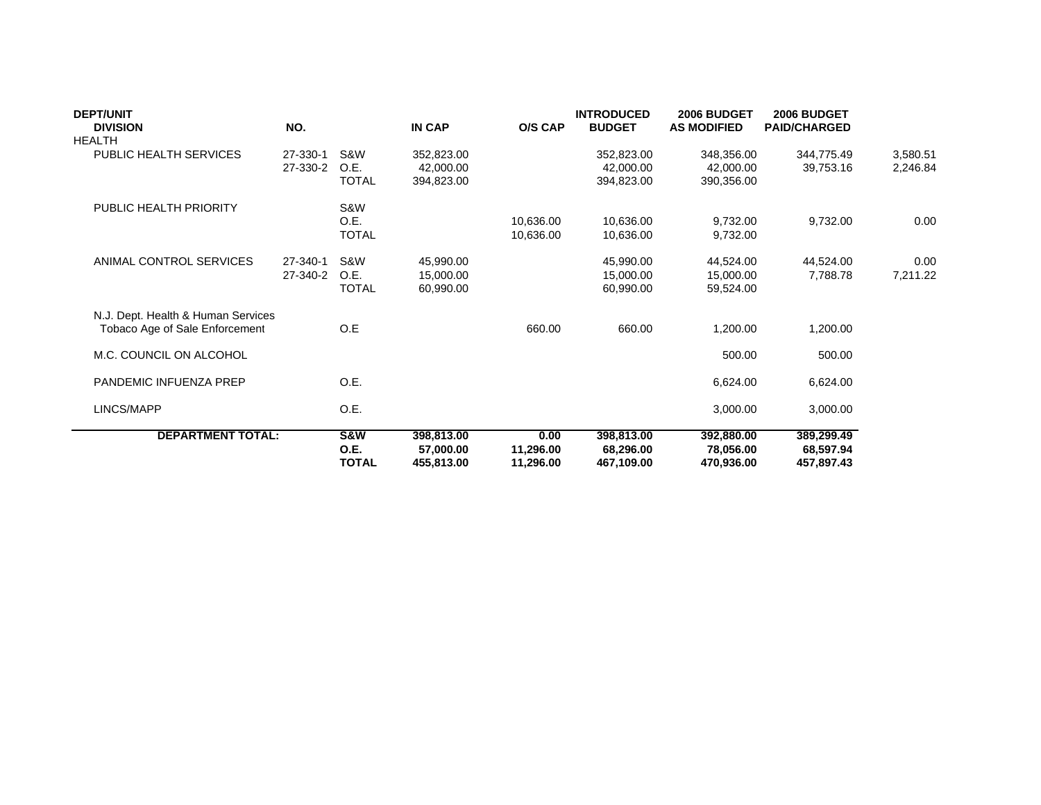| <b>DEPT/UNIT</b><br><b>DIVISION</b><br><b>HEALTH</b>                 | NO.                  |                             | IN CAP                                | O/S CAP                        | <b>INTRODUCED</b><br><b>BUDGET</b>    | 2006 BUDGET<br><b>AS MODIFIED</b>     | 2006 BUDGET<br><b>PAID/CHARGED</b>    |                      |
|----------------------------------------------------------------------|----------------------|-----------------------------|---------------------------------------|--------------------------------|---------------------------------------|---------------------------------------|---------------------------------------|----------------------|
| PUBLIC HEALTH SERVICES                                               | 27-330-1<br>27-330-2 | S&W<br>O.E.<br><b>TOTAL</b> | 352,823.00<br>42,000.00<br>394,823.00 |                                | 352,823.00<br>42,000,00<br>394,823.00 | 348,356.00<br>42,000.00<br>390,356.00 | 344,775.49<br>39,753.16               | 3,580.51<br>2,246.84 |
| PUBLIC HEALTH PRIORITY                                               |                      | S&W<br>O.E.<br><b>TOTAL</b> |                                       | 10,636.00<br>10,636.00         | 10,636.00<br>10,636.00                | 9,732.00<br>9,732.00                  | 9,732.00                              | 0.00                 |
| ANIMAL CONTROL SERVICES                                              | 27-340-1<br>27-340-2 | S&W<br>O.E.<br><b>TOTAL</b> | 45,990.00<br>15,000.00<br>60,990.00   |                                | 45,990.00<br>15,000.00<br>60,990.00   | 44,524.00<br>15,000.00<br>59,524.00   | 44,524.00<br>7,788.78                 | 0.00<br>7,211.22     |
| N.J. Dept. Health & Human Services<br>Tobaco Age of Sale Enforcement |                      | O.E                         |                                       | 660.00                         | 660.00                                | 1,200.00                              | 1,200.00                              |                      |
| M.C. COUNCIL ON ALCOHOL                                              |                      |                             |                                       |                                |                                       | 500.00                                | 500.00                                |                      |
| PANDEMIC INFUENZA PREP                                               |                      | O.E.                        |                                       |                                |                                       | 6,624.00                              | 6,624.00                              |                      |
| LINCS/MAPP                                                           |                      | O.E.                        |                                       |                                |                                       | 3,000.00                              | 3,000.00                              |                      |
| <b>DEPARTMENT TOTAL:</b>                                             |                      | S&W<br>O.E.<br><b>TOTAL</b> | 398,813.00<br>57,000.00<br>455,813.00 | 0.00<br>11,296.00<br>11,296.00 | 398,813.00<br>68,296.00<br>467,109.00 | 392,880.00<br>78,056.00<br>470,936.00 | 389,299.49<br>68,597.94<br>457,897.43 |                      |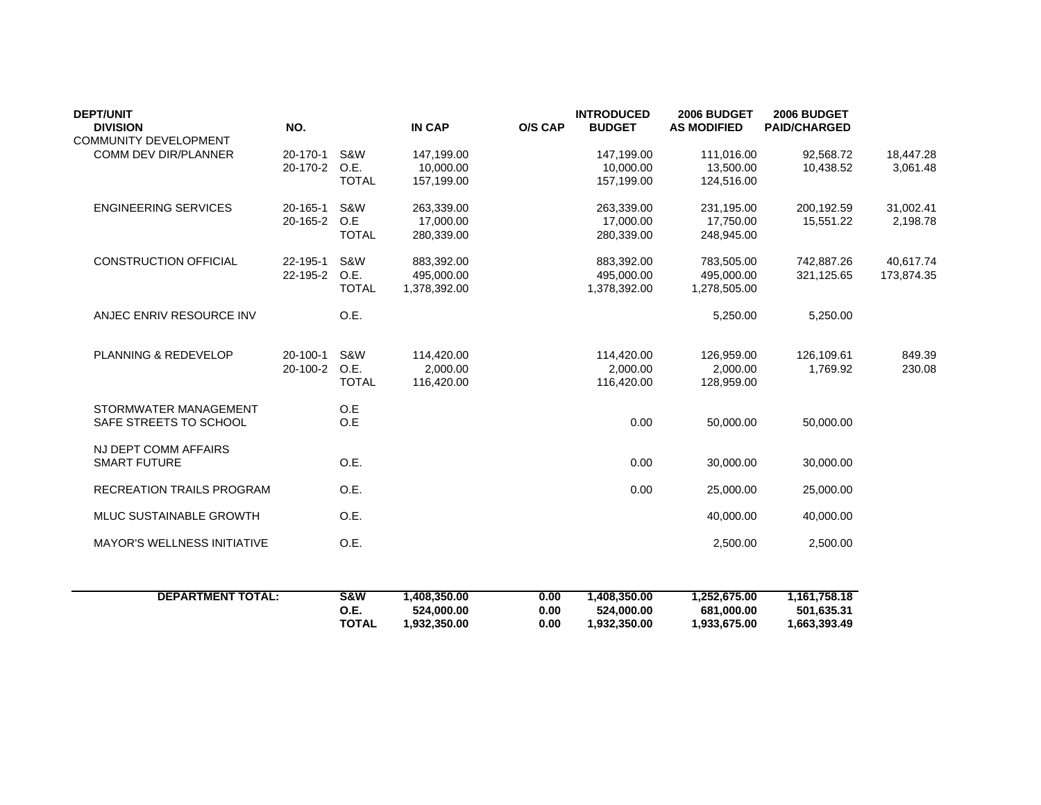| <b>DEPT/UNIT</b><br><b>DIVISION</b><br><b>COMMUNITY DEVELOPMENT</b> | NO.                        |                             | <b>IN CAP</b>                            | <b>O/S CAP</b> | <b>INTRODUCED</b><br><b>BUDGET</b>       | 2006 BUDGET<br><b>AS MODIFIED</b>        | 2006 BUDGET<br><b>PAID/CHARGED</b> |                         |
|---------------------------------------------------------------------|----------------------------|-----------------------------|------------------------------------------|----------------|------------------------------------------|------------------------------------------|------------------------------------|-------------------------|
| COMM DEV DIR/PLANNER                                                | 20-170-1<br>20-170-2       | S&W<br>O.E.<br><b>TOTAL</b> | 147,199.00<br>10,000.00<br>157,199.00    |                | 147,199.00<br>10,000.00<br>157,199.00    | 111,016.00<br>13,500.00<br>124,516.00    | 92,568.72<br>10,438.52             | 18,447.28<br>3,061.48   |
| <b>ENGINEERING SERVICES</b>                                         | 20-165-1<br>20-165-2       | S&W<br>O.E<br><b>TOTAL</b>  | 263,339.00<br>17,000.00<br>280,339.00    |                | 263,339.00<br>17,000.00<br>280,339.00    | 231,195.00<br>17,750.00<br>248,945.00    | 200,192.59<br>15,551.22            | 31,002.41<br>2,198.78   |
| <b>CONSTRUCTION OFFICIAL</b>                                        | 22-195-1<br>22-195-2       | S&W<br>O.E.<br><b>TOTAL</b> | 883,392.00<br>495.000.00<br>1,378,392.00 |                | 883,392.00<br>495,000.00<br>1,378,392.00 | 783,505.00<br>495.000.00<br>1,278,505.00 | 742.887.26<br>321,125.65           | 40.617.74<br>173,874.35 |
| ANJEC ENRIV RESOURCE INV                                            |                            | O.E.                        |                                          |                |                                          | 5,250.00                                 | 5,250.00                           |                         |
| PLANNING & REDEVELOP                                                | $20 - 100 - 1$<br>20-100-2 | S&W<br>O.E.<br><b>TOTAL</b> | 114,420.00<br>2,000.00<br>116,420.00     |                | 114,420.00<br>2,000.00<br>116,420.00     | 126,959.00<br>2,000.00<br>128,959.00     | 126,109.61<br>1,769.92             | 849.39<br>230.08        |
| STORMWATER MANAGEMENT<br>SAFE STREETS TO SCHOOL                     |                            | O.E<br>O.E                  |                                          |                | 0.00                                     | 50,000.00                                | 50,000.00                          |                         |
| NJ DEPT COMM AFFAIRS<br><b>SMART FUTURE</b>                         |                            | O.E.                        |                                          |                | 0.00                                     | 30,000.00                                | 30,000.00                          |                         |
| <b>RECREATION TRAILS PROGRAM</b>                                    |                            | O.E.                        |                                          |                | 0.00                                     | 25,000.00                                | 25,000.00                          |                         |
| MLUC SUSTAINABLE GROWTH                                             |                            | O.E.                        |                                          |                |                                          | 40,000.00                                | 40,000.00                          |                         |
| <b>MAYOR'S WELLNESS INITIATIVE</b>                                  |                            | O.E.                        |                                          |                |                                          | 2,500.00                                 | 2,500.00                           |                         |
|                                                                     |                            |                             |                                          |                |                                          |                                          |                                    |                         |

| <b>DEPARTMENT TOTAL:</b> | <b>S&amp;W</b> | .408.350.00  | 0.00 | .408.350.00  | 1.252.675.00 | 1.161.758.18 |
|--------------------------|----------------|--------------|------|--------------|--------------|--------------|
|                          | O.E.           | 524.000.00   | 0.00 | 524.000.00   | 681.000.00   | 501.635.31   |
|                          | <b>TOTAL</b>   | 1.932.350.00 | 0.00 | 1.932.350.00 | 1.933.675.00 | 1,663,393.49 |
|                          |                |              |      |              |              |              |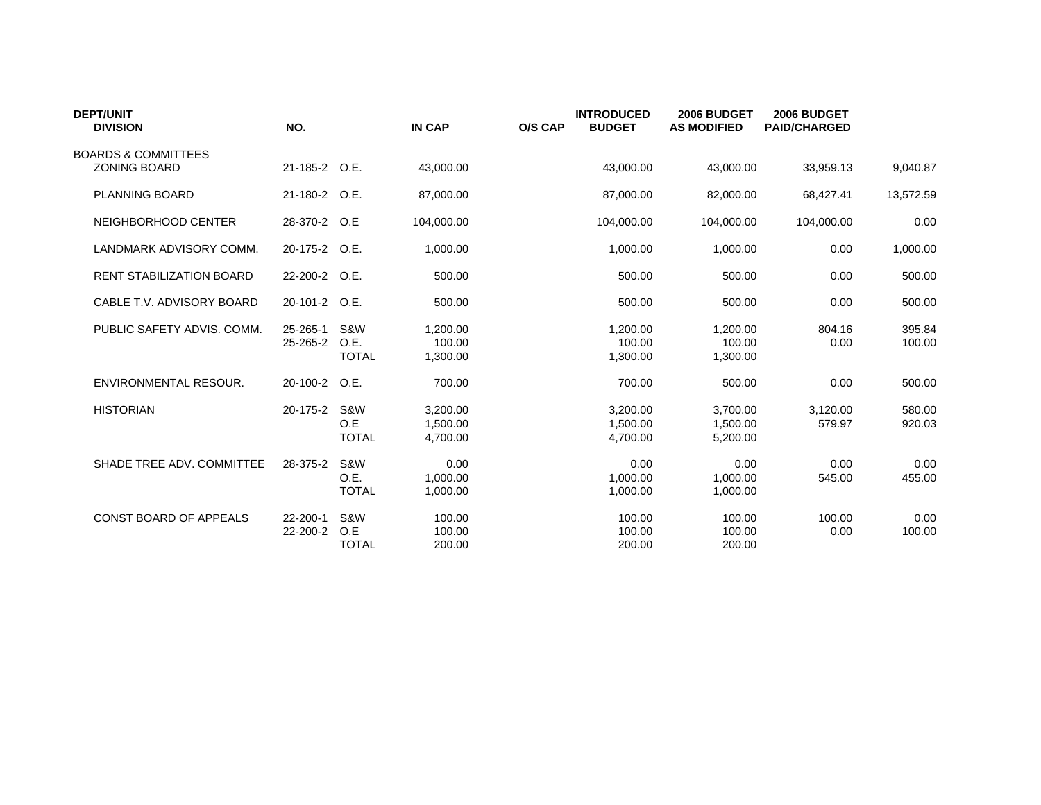| <b>DEPT/UNIT</b><br><b>DIVISION</b> | NO.           |              | <b>IN CAP</b> | <b>O/S CAP</b> | <b>INTRODUCED</b><br><b>BUDGET</b> | 2006 BUDGET<br><b>AS MODIFIED</b> | 2006 BUDGET<br><b>PAID/CHARGED</b> |           |
|-------------------------------------|---------------|--------------|---------------|----------------|------------------------------------|-----------------------------------|------------------------------------|-----------|
| <b>BOARDS &amp; COMMITTEES</b>      |               |              |               |                |                                    |                                   |                                    |           |
| <b>ZONING BOARD</b>                 | 21-185-2 O.E. |              | 43.000.00     |                | 43,000.00                          | 43.000.00                         | 33,959.13                          | 9,040.87  |
| <b>PLANNING BOARD</b>               | 21-180-2 O.E. |              | 87.000.00     |                | 87,000.00                          | 82,000.00                         | 68,427.41                          | 13,572.59 |
| NEIGHBORHOOD CENTER                 | 28-370-2 O.E  |              | 104,000.00    |                | 104,000.00                         | 104,000.00                        | 104,000.00                         | 0.00      |
| LANDMARK ADVISORY COMM.             | 20-175-2 O.E. |              | 1,000.00      |                | 1,000.00                           | 1,000.00                          | 0.00                               | 1,000.00  |
| <b>RENT STABILIZATION BOARD</b>     | 22-200-2 O.E. |              | 500.00        |                | 500.00                             | 500.00                            | 0.00                               | 500.00    |
| CABLE T.V. ADVISORY BOARD           | 20-101-2 O.E. |              | 500.00        |                | 500.00                             | 500.00                            | 0.00                               | 500.00    |
| PUBLIC SAFETY ADVIS, COMM.          | 25-265-1      | S&W          | 1,200.00      |                | 1,200.00                           | 1,200.00                          | 804.16                             | 395.84    |
|                                     | 25-265-2      | O.E.         | 100.00        |                | 100.00                             | 100.00                            | 0.00                               | 100.00    |
|                                     |               | <b>TOTAL</b> | 1,300.00      |                | 1,300.00                           | 1,300.00                          |                                    |           |
| ENVIRONMENTAL RESOUR.               | 20-100-2      | O.E.         | 700.00        |                | 700.00                             | 500.00                            | 0.00                               | 500.00    |
| <b>HISTORIAN</b>                    | 20-175-2      | S&W          | 3,200.00      |                | 3,200.00                           | 3,700.00                          | 3,120.00                           | 580.00    |
|                                     |               | O.E          | 1.500.00      |                | 1.500.00                           | 1,500.00                          | 579.97                             | 920.03    |
|                                     |               | <b>TOTAL</b> | 4,700.00      |                | 4,700.00                           | 5,200.00                          |                                    |           |
| SHADE TREE ADV. COMMITTEE           | 28-375-2      | S&W          | 0.00          |                | 0.00                               | 0.00                              | 0.00                               | 0.00      |
|                                     |               | O.E.         | 1,000.00      |                | 1,000.00                           | 1,000.00                          | 545.00                             | 455.00    |
|                                     |               | <b>TOTAL</b> | 1,000.00      |                | 1,000.00                           | 1,000.00                          |                                    |           |
| CONST BOARD OF APPEALS              | 22-200-1      | S&W          | 100.00        |                | 100.00                             | 100.00                            | 100.00                             | 0.00      |
|                                     | 22-200-2      | O.E          | 100.00        |                | 100.00                             | 100.00                            | 0.00                               | 100.00    |
|                                     |               | <b>TOTAL</b> | 200.00        |                | 200.00                             | 200.00                            |                                    |           |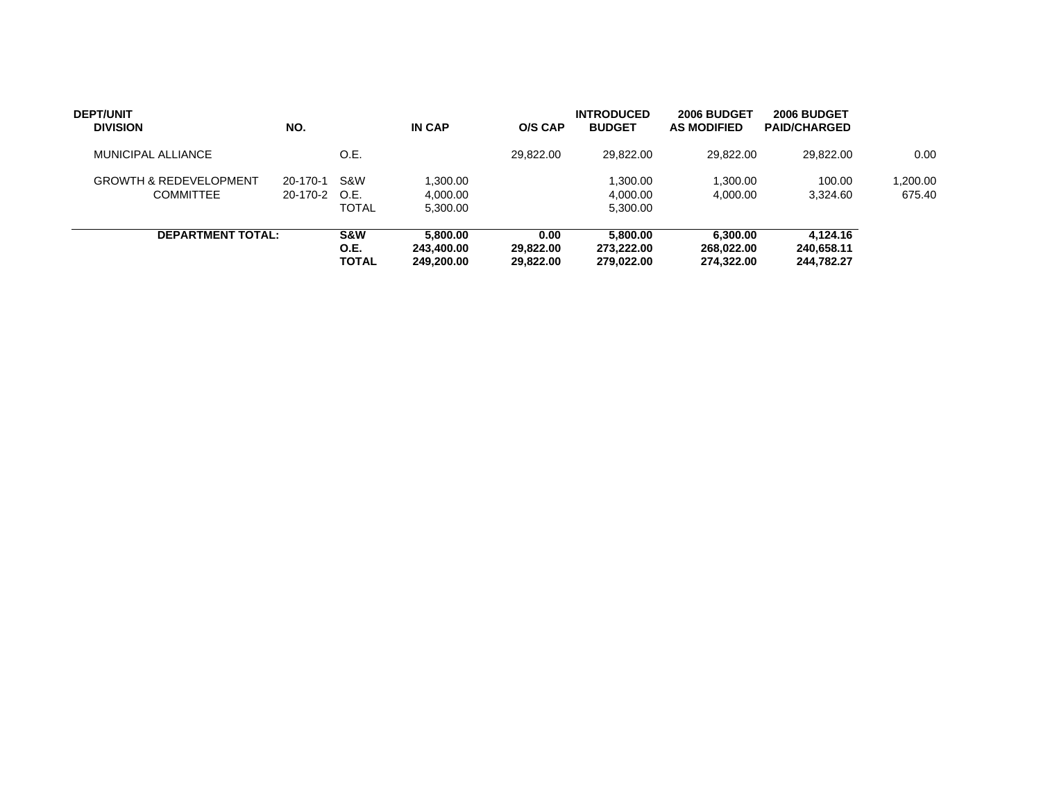| <b>DEPT/UNIT</b><br><b>DIVISION</b>                   | NO.                  |                                 | <b>IN CAP</b>                        | O/S CAP                        | <b>INTRODUCED</b><br><b>BUDGET</b>   | 2006 BUDGET<br><b>AS MODIFIED</b>    | 2006 BUDGET<br><b>PAID/CHARGED</b>   |                    |
|-------------------------------------------------------|----------------------|---------------------------------|--------------------------------------|--------------------------------|--------------------------------------|--------------------------------------|--------------------------------------|--------------------|
| MUNICIPAL ALLIANCE                                    |                      | O.E.                            |                                      | 29.822.00                      | 29.822.00                            | 29.822.00                            | 29.822.00                            | 0.00               |
| <b>GROWTH &amp; REDEVELOPMENT</b><br><b>COMMITTEE</b> | 20-170-1<br>20-170-2 | <b>S&amp;W</b><br>O.E.<br>TOTAL | 1,300.00<br>4.000.00<br>5,300.00     |                                | 1.300.00<br>4.000.00<br>5,300.00     | 1.300.00<br>4.000.00                 | 100.00<br>3.324.60                   | 1,200.00<br>675.40 |
| <b>DEPARTMENT TOTAL:</b>                              |                      | <b>S&amp;W</b><br>O.E.<br>TOTAL | 5.800.00<br>243.400.00<br>249.200.00 | 0.00<br>29.822.00<br>29.822.00 | 5.800.00<br>273.222.00<br>279.022.00 | 6.300.00<br>268.022.00<br>274.322.00 | 4.124.16<br>240.658.11<br>244.782.27 |                    |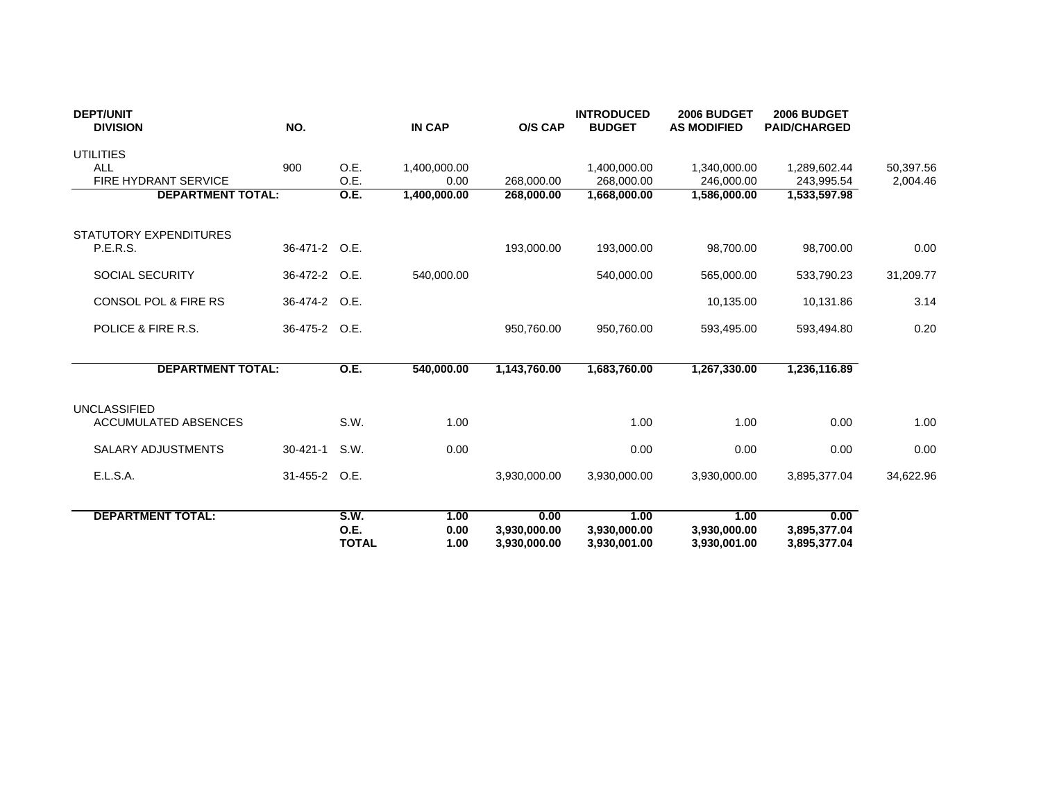| <b>DEPT/UNIT</b><br><b>DIVISION</b>                | NO.            |                                     | <b>IN CAP</b>        | O/S CAP                              | <b>INTRODUCED</b><br><b>BUDGET</b>   | 2006 BUDGET<br><b>AS MODIFIED</b>    | 2006 BUDGET<br><b>PAID/CHARGED</b>   |           |
|----------------------------------------------------|----------------|-------------------------------------|----------------------|--------------------------------------|--------------------------------------|--------------------------------------|--------------------------------------|-----------|
| <b>UTILITIES</b><br><b>ALL</b>                     | 900            | O.E.                                | 1,400,000.00         |                                      | 1,400,000.00                         | 1,340,000.00                         | 1,289,602.44                         | 50,397.56 |
| <b>FIRE HYDRANT SERVICE</b>                        |                | O.E.                                | 0.00                 | 268.000.00                           | 268.000.00                           | 246.000.00                           | 243,995.54                           | 2,004.46  |
| <b>DEPARTMENT TOTAL:</b>                           |                | <b>O.E.</b>                         | 1,400,000.00         | 268,000.00                           | 1,668,000.00                         | 1,586,000.00                         | 1,533,597.98                         |           |
| STATUTORY EXPENDITURES<br><b>P.E.R.S.</b>          | 36-471-2 O.E.  |                                     |                      | 193,000.00                           | 193,000.00                           | 98,700.00                            | 98,700.00                            | 0.00      |
| SOCIAL SECURITY                                    | 36-472-2 O.E.  |                                     | 540,000.00           |                                      | 540,000.00                           | 565,000.00                           | 533,790.23                           | 31,209.77 |
| CONSOL POL & FIRE RS                               | 36-474-2 O.E.  |                                     |                      |                                      |                                      | 10,135.00                            | 10,131.86                            | 3.14      |
| POLICE & FIRE R.S.                                 | 36-475-2 O.E.  |                                     |                      | 950,760.00                           | 950,760.00                           | 593,495.00                           | 593,494.80                           | 0.20      |
| <b>DEPARTMENT TOTAL:</b>                           |                | <b>O.E.</b>                         | 540,000.00           | 1,143,760.00                         | 1,683,760.00                         | 1,267,330.00                         | 1,236,116.89                         |           |
| <b>UNCLASSIFIED</b><br><b>ACCUMULATED ABSENCES</b> |                | S.W.                                | 1.00                 |                                      | 1.00                                 | 1.00                                 | 0.00                                 | 1.00      |
| <b>SALARY ADJUSTMENTS</b>                          | $30 - 421 - 1$ | S.W.                                | 0.00                 |                                      | 0.00                                 | 0.00                                 | 0.00                                 | 0.00      |
| E.L.S.A.                                           | 31-455-2 O.E.  |                                     |                      | 3,930,000.00                         | 3,930,000.00                         | 3,930,000.00                         | 3,895,377.04                         | 34,622.96 |
| <b>DEPARTMENT TOTAL:</b>                           |                | <b>S.W.</b><br>O.E.<br><b>TOTAL</b> | 1.00<br>0.00<br>1.00 | 0.00<br>3,930,000.00<br>3,930,000.00 | 1.00<br>3,930,000.00<br>3,930,001.00 | 1.00<br>3,930,000.00<br>3,930,001.00 | 0.00<br>3,895,377.04<br>3,895,377.04 |           |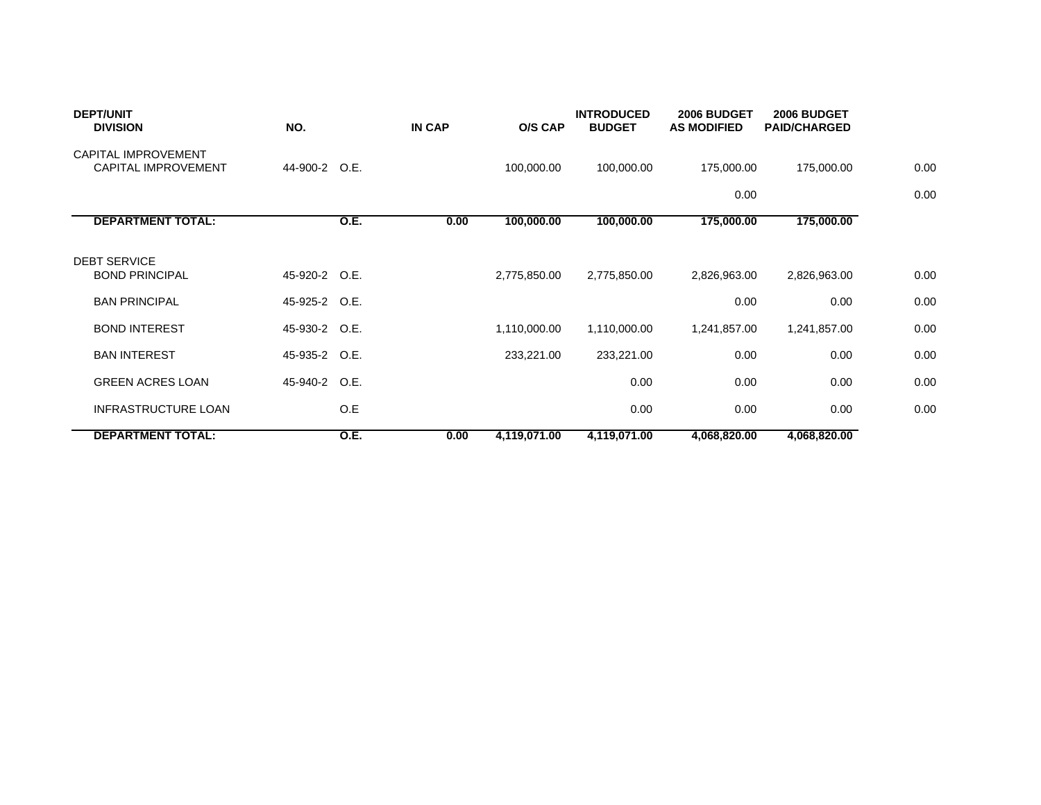| <b>DEPT/UNIT</b><br><b>DIVISION</b>               | NO.           |             | <b>IN CAP</b> | O/S CAP      | <b>INTRODUCED</b><br><b>BUDGET</b> | 2006 BUDGET<br><b>AS MODIFIED</b> | 2006 BUDGET<br><b>PAID/CHARGED</b> |      |
|---------------------------------------------------|---------------|-------------|---------------|--------------|------------------------------------|-----------------------------------|------------------------------------|------|
| CAPITAL IMPROVEMENT<br><b>CAPITAL IMPROVEMENT</b> | 44-900-2 O.E. |             |               | 100,000.00   | 100,000.00                         | 175,000.00                        | 175,000.00                         | 0.00 |
|                                                   |               |             |               |              |                                    | 0.00                              |                                    | 0.00 |
| <b>DEPARTMENT TOTAL:</b>                          |               | <b>O.E.</b> | 0.00          | 100,000.00   | 100,000.00                         | 175,000.00                        | 175,000.00                         |      |
| <b>DEBT SERVICE</b><br><b>BOND PRINCIPAL</b>      | 45-920-2 O.E. |             |               | 2,775,850.00 | 2,775,850.00                       | 2,826,963.00                      | 2,826,963.00                       | 0.00 |
| <b>BAN PRINCIPAL</b>                              | 45-925-2 O.E. |             |               |              |                                    | 0.00                              | 0.00                               | 0.00 |
| <b>BOND INTEREST</b>                              | 45-930-2 O.E. |             |               | 1,110,000.00 | 1,110,000.00                       | 1,241,857.00                      | 1,241,857.00                       | 0.00 |
| <b>BAN INTEREST</b>                               | 45-935-2 O.E. |             |               | 233,221.00   | 233,221.00                         | 0.00                              | 0.00                               | 0.00 |
| <b>GREEN ACRES LOAN</b>                           | 45-940-2 O.E. |             |               |              | 0.00                               | 0.00                              | 0.00                               | 0.00 |
| <b>INFRASTRUCTURE LOAN</b>                        |               | O.E         |               |              | 0.00                               | 0.00                              | 0.00                               | 0.00 |
| <b>DEPARTMENT TOTAL:</b>                          |               | <b>O.E.</b> | 0.00          | 4,119,071.00 | 4,119,071.00                       | 4,068,820.00                      | 4,068,820.00                       |      |